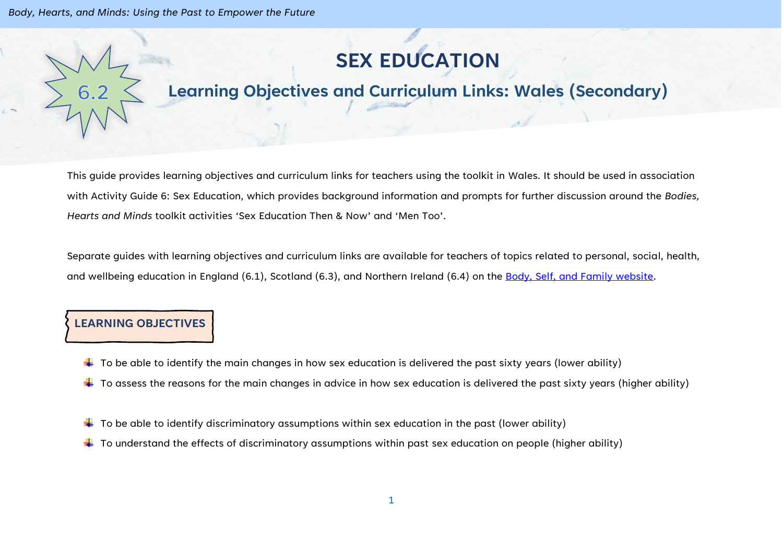*Body, Hearts, and Minds: Using the Past to Empower the Future*

# **SEX EDUCATION**

# **Learning Objectives and Curriculum Links: Wales (Secondary)**

This guide provides learning objectives and curriculum links for teachers using the toolkit in Wales. It should be used in association with Activity Guide 6: Sex Education, which provides background information and prompts for further discussion around the *Bodies, Hearts and Minds* toolkit activities 'Sex Education Then & Now' and 'Men Too'.

Separate guides with learning objectives and curriculum links are available for teachers of topics related to personal, social, health, and wellbeing education in England (6.1), Scotland (6.3), and Northern Ireland (6.4) on the [Body, Self, and Family website.](https://bodyselffamily.org/)

#### **LEARNING OBJECTIVES**

- $\ddotplus$  To be able to identify the main changes in how sex education is delivered the past sixty years (lower ability)
- $\ddotplus$  To assess the reasons for the main changes in advice in how sex education is delivered the past sixty years (higher ability)
- $\downarrow$  To be able to identify discriminatory assumptions within sex education in the past (lower ability)
- $\ddotplus$  To understand the effects of discriminatory assumptions within past sex education on people (higher ability)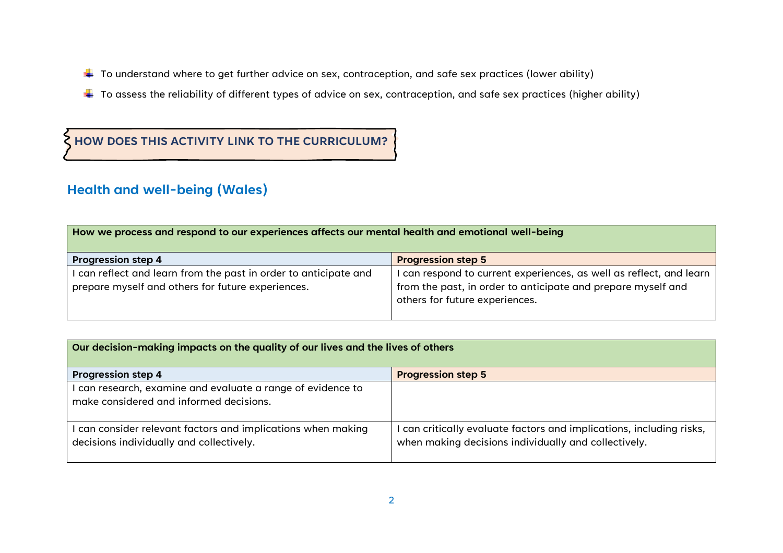- $\ddotplus$  To understand where to get further advice on sex, contraception, and safe sex practices (lower ability)
- $\ddotplus$  To assess the reliability of different types of advice on sex, contraception, and safe sex practices (higher ability)

## **HOW DOES THIS ACTIVITY LINK TO THE CURRICULUM?**

### **Health and well-being (Wales)**

| How we process and respond to our experiences affects our mental health and emotional well-being                      |                                                                                                                                                                     |  |
|-----------------------------------------------------------------------------------------------------------------------|---------------------------------------------------------------------------------------------------------------------------------------------------------------------|--|
| <b>Progression step 4</b>                                                                                             | <b>Progression step 5</b>                                                                                                                                           |  |
| I can reflect and learn from the past in order to anticipate and<br>prepare myself and others for future experiences. | can respond to current experiences, as well as reflect, and learn<br>from the past, in order to anticipate and prepare myself and<br>others for future experiences. |  |

| Our decision-making impacts on the quality of our lives and the lives of others                          |                                                                                                                            |  |
|----------------------------------------------------------------------------------------------------------|----------------------------------------------------------------------------------------------------------------------------|--|
| <b>Progression step 4</b>                                                                                | <b>Progression step 5</b>                                                                                                  |  |
| I can research, examine and evaluate a range of evidence to<br>make considered and informed decisions.   |                                                                                                                            |  |
| I can consider relevant factors and implications when making<br>decisions individually and collectively. | can critically evaluate factors and implications, including risks,<br>when making decisions individually and collectively. |  |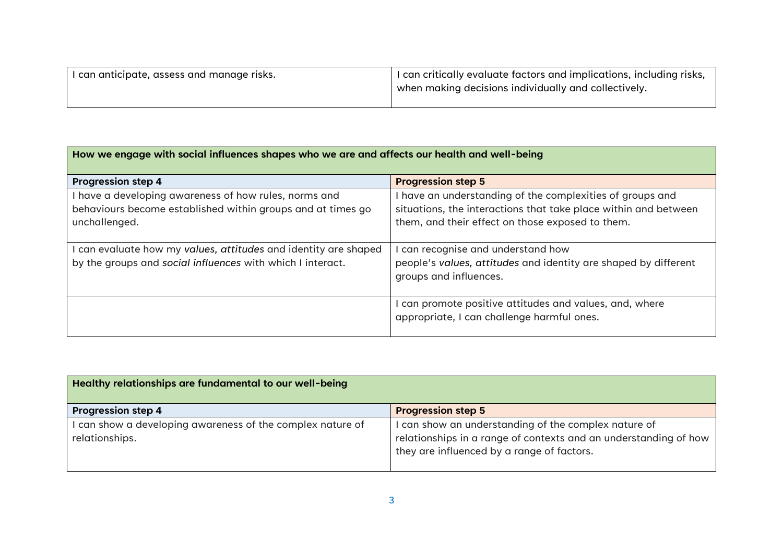| I can anticipate, assess and manage risks. | $\perp$ I can critically evaluate factors and implications, including risks, |
|--------------------------------------------|------------------------------------------------------------------------------|
|                                            | when making decisions individually and collectively.                         |
|                                            |                                                                              |

| How we engage with social influences shapes who we are and affects our health and well-being                                        |                                                                                                                                                                                  |
|-------------------------------------------------------------------------------------------------------------------------------------|----------------------------------------------------------------------------------------------------------------------------------------------------------------------------------|
| <b>Progression step 4</b>                                                                                                           | <b>Progression step 5</b>                                                                                                                                                        |
| have a developing awareness of how rules, norms and<br>behaviours become established within groups and at times go<br>unchallenged. | I have an understanding of the complexities of groups and<br>situations, the interactions that take place within and between<br>them, and their effect on those exposed to them. |
| can evaluate how my values, attitudes and identity are shaped<br>by the groups and social influences with which I interact.         | I can recognise and understand how<br>people's values, attitudes and identity are shaped by different<br>groups and influences.                                                  |
|                                                                                                                                     | I can promote positive attitudes and values, and, where<br>appropriate, I can challenge harmful ones.                                                                            |

| Healthy relationships are fundamental to our well-being                    |                                                                                                                                                                        |
|----------------------------------------------------------------------------|------------------------------------------------------------------------------------------------------------------------------------------------------------------------|
| <b>Progression step 4</b>                                                  | <b>Progression step 5</b>                                                                                                                                              |
| can show a developing awareness of the complex nature of<br>relationships. | I can show an understanding of the complex nature of<br>relationships in a range of contexts and an understanding of how<br>they are influenced by a range of factors. |